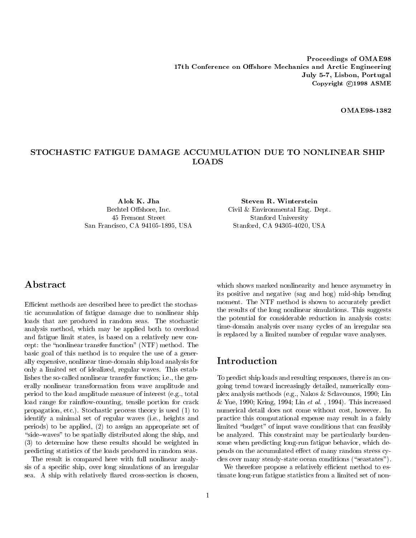**OMAE98-1382** 

# STOCHASTIC FATIGUE DAMAGE ACCUMULATION DUE TO NONLINEAR SHIP **LOADS**

45 Fremont Street Stanford University San Francisco, CA 94105-1895, USA Stanford, CA 94305-4020, USA

Alok K. Jha Steven R. Winterstein Bechtel Offshore, Inc. Civil & Environmental Eng. Dept.

# A bstract

Efficient methods are described here to predict the stochastic accumulation of fatigue damage due to nonlinear ship loads that are produced in random seas. The stochastic analysis method, which may be applied both to overload and fatigue limit states, is based on a relatively new concept: the \nonlinear transfer function" (NTF) method. The basic goal of this method is to require the use of a generally expensive, nonlinear time-domain ship load analysis for  $\int$  Introduction only a limited set of idealized, regular waves. This establishes the so-called nonlinear transfer function; i.e., the generally nonlinear transformation from wave amplitude and period to the load amplitude measure of interest (e.g., total load range for rainflow-counting, tensile portion for crack propagation, etc.). Stochastic process theory is used (1) to identify a minimal set of regular waves (i.e., heights and periods) to be applied, (2) to assign an appropriate set of "side-waves" to be spatially distributed along the ship, and (3) to determine how these results should be weighted in predicting statistics of the loads produced in random seas.

The result is compared here with full nonlinear analysis of a specic ship, over long simulations of an irregular sea. A ship with relatively flared cross-section is chosen,

which shows marked nonlinearity and hence asymmetry in its positive and negative (sag and hog) mid-ship bending moment. The NTF method is shown to accurately predict the results of the long nonlinear simulations. This suggests the potential for considerable reduction in analysis costs: time-domain analysis over many cycles of an irregular sea is replaced by a limited number of regular wave analyses.

To predict ship loads and resulting responses, there is an ongoing trend toward increasingly detailed, numerically complex analysis methods (e.g., Nakos & Sclavounos, 1990; Lin & Yue, 1990; Kring, 1994; Lin et al. , 1994). This increased numerical detail does not come without cost, however. In practice this computational expense may result in a fairly limited "budget" of input wave conditions that can feasibly be analyzed. This constraint may be particularly burdensome when predicting long-run fatigue behavior, which depends on the accumulated effect of many random stress cycles over many steady-state ocean conditions ( $\text{``seastates''}.$ 

We therefore propose a relatively efficient method to estimate long-run fatigue statistics from a limited set of non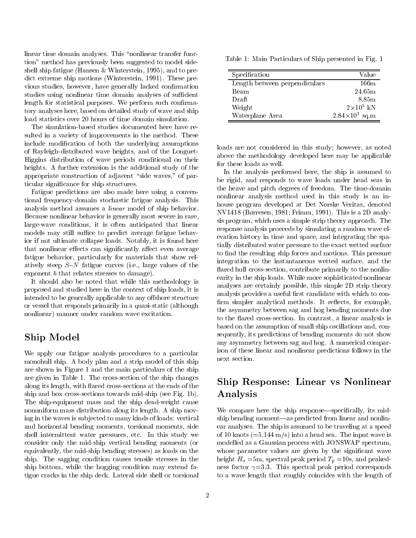linear time domain analyses. This "nonlinear transfer function" method has previously been suggested to model sideshell ship fatigue (Hansen & Winterstein, 1995), and to predict extreme ship motions (Winterstein, 1991). These previous studies, however, have generally lacked conrmation studies using nonlinear time domain analyses of sufficient length for statistical purposes. We perform such confirmatory analyses here, based on detailed study of wave and ship load statistics over 20 hours of time domain simulation.

The simulation-based studies documented here have resulted in a variety of improvements in the method. These include modication of both the underlying assumptions of Rayleigh-distributed wave heights, and of the Longuet-Higgins distribution of wave periods conditional on their heights. A further extension is the additional study of the appropriate construction of adjacent "side waves," of particular signicance for ship structures.

Fatigue predictions are also made here using a conventional frequency-domain stochastic fatigue analysis. This analysis method assumes a linear model of ship behavior. Because nonlinear behavior is generally most severe in rare, large-wave conditions, it is often anticipated that linear models may still suffice to predict average fatigue behavior if not ultimate collapse loads. Notably, it is found here that nonlinear effects can significantly affect even average fatigue behavior, particularly for materials that show relatively steep  $S-N$  fatigue curves (i.e., large values of the exponent b that relates stresses to damage).

It should also be noted that while this methodology is proposed and studied here in the context of ship loads, it is intended to be generally applicable to any offshore structure or vessel that responds primarily in a quasi-static (although nonlinear) manner under random wave excitation.

# Ship Model

We apply our fatigue analysis procedures to a particular monohull ship. A body plan and a strip model of this ship are shown in Figure 1 and the main particulars of the ship are given in Table 1. The cross-section of the ship changes along its length, with 
ared cross-sections at the ends of the ship and box cross-sections towards mid-ship (see Fig. 1b). The ship-equipment mass and the ship dead-weight cause nonuniform mass distribution along its length. A ship moving in the waves is sub jected to many kinds of loads: vertical and horizontal bending moments, torsional moments, side shell intermittent water pressures, etc. In this study we consider only the mid-ship vertical bending moments (or equivalently, the mid-ship bending stresses) as loads on the ship. The sagging condition causes tensile stresses in the ship bottom, while the hogging condition may extend fatigue cracks in the ship deck. Lateral side shell or torsional

Table 1: Main Particulars of Ship presented in Fig. 1

| Specification                 | Value                   |
|-------------------------------|-------------------------|
| Length between perpendiculars | $166\mathrm{m}$         |
| Beam                          | 24.65m                  |
| Draft                         | 8.85m                   |
| Weight                        | $2\times10^5$ kN        |
| Waterplane Area               | $2.84 \times 10^3$ sq.m |

loads are not considered in this study; however, as noted above the methodology developed here may be applicable for these loads as well.

In the analysis performed here, the ship is assumed to be rigid, and responds to wave loads under head seas in the heave and pitch degrees of freedom. The time-domain nonlinear analysis method used in this study is an inhouse program developed at Det Norske Veritas, denoted NV1418 (Børresen, 1981; Frimm, 1991). This is a 2D analysis program, which uses a simple strip theory approach. The response analysis proceeds by simulating a random wave elevation history in time and space, and integrating the spatially distributed water pressure to the exact wetted surface to find the resulting ship forces and motions. This pressure integration to the instantaneous wetted surface, and the flared hull cross-section, contribute primarily to the nonlinearity in the ship loads. While more sophisticated nonlinear analyses are certainly possible, this simple 2D strip theory analysis provides a useful first candidate with which to confirm simpler analytical methods. It reflects, for example, the asymmetry between sag and hog bending moments due to the flared cross-section. In contrast, a linear analysis is based on the assumption of small ship oscillations and, consequently, its predictions of bending moments do not show any asymmetry between sag and hog. A numerical comparison of these linear and nonlinear predictions follows in the next section.

# Ship Response: Linear vs Nonlinear Analysis

We compare here the ship response—specifically, its midship bending moment—as predicted from linear and nonlinear analyses. The ship is assumed to be traveling at a speed of 10 knots  $(=5.144 \text{ m/s})$  into a head sea. The input wave is modelled as a Gaussian process with JONSWAP spectrum, whose parameter values are given by the significant wave height  $H_s = 5$ m, spectral peak period  $T_p = 10$ s, and peakedness factor  $\gamma = 3.3$ . This spectral peak period corresponds to a wave length that roughly coincides with the length of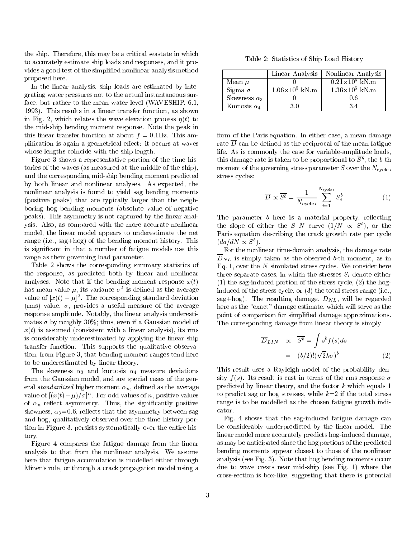the ship. Therefore, this may be a critical seastate in which to accurately estimate ship loads and responses, and it provides a good test of the simplied nonlinear analysis method proposed here.

In the linear analysis, ship loads are estimated by integrating water pressures not to the actual instantaneous surface, but rather to the mean water level (WAVESHIP, 6.1, 1993). This results in a linear transfer function, as shown in Fig. 2, which relates the wave elevation process  $\eta(t)$  to the mid-ship bending moment response. Note the peak in this linear transfer function at about  $f = 0.1$ Hz. This amplification is again a geometrical effect: it occurs at waves whose lengths coincide with the ship length.

Figure 3 shows a representative portion of the time histories of the waves (as measured at the middle of the ship), and the corresponding mid-ship bending moment predicted by both linear and nonlinear analyses. As expected, the nonlinear analysis is found to yield sag bending moments (positive peaks) that are typically larger than the neighboring hog bending moments (absolute value of negative peaks). This asymmetry is not captured by the linear analysis. Also, as compared with the more accurate nonlinear model, the linear model appears to underestimate the net range (i.e., sag+hog) of the bending moment history. This is signicant in that a number of fatigue models use this range as their governing load parameter.

Table 2 shows the corresponding summary statistics of the response, as predicted both by linear and nonlinear analyses. Note that if the bending moment response  $x(t)$ nas mean value  $\mu$ , its variance  $\sigma^-$  is defined as the average  $\qquad\qquad$   $_{\rm H}$ value of  $|x(t) - \mu|$ . The corresponding standard deviation sag (rms) value,  $\sigma$ , provides a useful measure of the average response amplitude. Notably, the linear analysis underestimates  $\sigma$  by roughly 30%; thus, even if a Gaussian model of  $x(t)$  is assumed (consistent with a linear analysis), its rms is considerably underestimated by applying the linear ship transfer function. This supports the qualitative observation, from Figure 3, that bending moment ranges tend here to be underestimated by linear theory.

The skewness  $\alpha_3$  and kurtosis  $\alpha_4$  measure deviations from the Gaussian model, and are special cases of the general *standardized* higher moment  $\alpha_n$ , defined as the average value of  $(x(t) - \mu)/\sigma$ . For odd values of n, positive values of  $\alpha_n$  reflect asymmetry. Thus, the significantly positive skewness,  $\alpha_3 = 0.6$ , reflects that the asymmetry between sag and hog, qualitatively observed over the time history portion in Figure 3, persists systematically over the entire history.

Figure 4 compares the fatigue damage from the linear analysis to that from the nonlinear analysis. We assume here that fatigue accumulation is modelled either through Miner's rule, or through a crack propagation model using a

Table 2: Statistics of Ship Load History

|                     | Linear Analysis         | Nonlinear Analysis      |
|---------------------|-------------------------|-------------------------|
| Mean $\mu$          |                         | $0.21 \times 10^5$ kN m |
| Sigma $\sigma$      | $1.06\times10^{5}$ kN m | $1.36 \times 10^5$ kN.m |
| Skewness $\alpha_3$ |                         | 0.6                     |
| Kurtosis $\alpha_4$ | 30                      | 34                      |

form of the Paris equation. In either case, a mean damage rate  $\overline{D}$  can be defined as the reciprocal of the mean fatigue life. As is commonly the case for variable-amplitude loads, this damage rate is taken to be proportional to  $B$ , the  $b$ -th moment of the governing stress parameter  $S$  over the  $N_{\text{cycles}}$ stress cycles:

$$
\overline{D} \propto \overline{S^b} = \frac{1}{N_{\text{cycles}}} \sum_{i=1}^{N_{\text{cycles}}} S_i^b \tag{1}
$$

The parameter  $b$  here is a material property, reflecting the slope of either the S-N curve  $(1/N \propto S^b)$ , or the Paris equation describing the crack growth rate per cycle  $(da/dN \propto S^b)$ .

For the nonlinear time-domain analysis, the damage rate  $\overline{D}_{NL}$  is simply taken as the observed b-th moment, as in Eq. 1, over the  $N$  simulated stress cycles. We consider here three separate cases, in which the stresses  $S_i$  denote either (1) the sag-induced portion of the stress cycle, (2) the hoginduced of the stress cycle, or (3) the total stress range (i.e., sag+hog). The resulting damage,  $D_{NL}$ , will be regarded here as the "exact" damage estimate, which will serve as the point of comparison for simplied damage approximations. The corresponding damage from linear theory is simply

$$
\overline{D}_{LIN} \propto \overline{S^b} = \int s^b f(s)ds
$$

$$
= (b/2)! (\sqrt{2}k\sigma)^b
$$
(2)

This result uses a Rayleigh model of the probability density  $f(s)$ . Its result is cast in terms of the rms response  $\sigma$ predicted by linear theory, and the factor  $k$  which equals 1 to predict sag or hog stresses, while  $k=2$  if the total stress range is to be modelled as the chosen fatigue growth indicator.

Fig. 4 shows that the sag-induced fatigue damage can be considerably underpredicted by the linear model. The linear model more accurately predicts hog-induced damage, as may be anticipated since the hog portions of the predicted bending moments appear closest to those of the nonlinear analysis (see Fig. 3). Note that hog bending moments occur due to wave crests near mid-ship (see Fig. 1) where the cross-section is box-like, suggesting that there is potential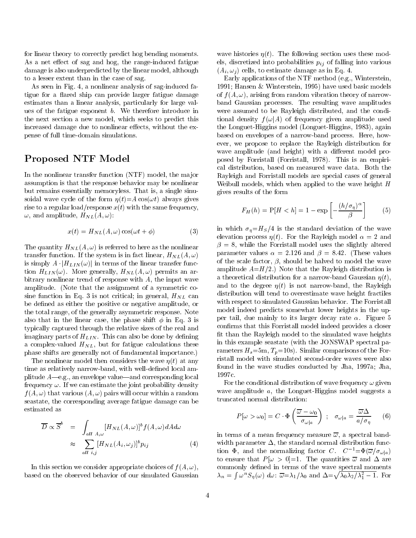for linear theory to correctly predict hog bending moments. As a net effect of sag and hog, the range-induced fatigue damage is also underpredicted by the linear model, although to a lesser extent than in the case of sag.

As seen in Fig. 4, a nonlinear analysis of sag-induced fatigue for a flared ship can provide larger fatigue damage estimates than a linear analysis, particularly for large values of the fatigue exponent b. We therefore introduce in the next section a new model, which seeks to predict this increased damage due to nonlinear effects, without the expense of full time-domain simulations.

# Proposed NTF Model

In the nonlinear transfer function (NTF) model, the major assumption is that the response behavior may be nonlinear but remains essentially memoryless. That is, a single sinusoidal wave cycle of the form  $\eta(t)=A\cos(\omega t)$  always gives rise to a regular load/response  $x(t)$  with the same frequency,  $\omega$ , and amplitude,  $H_{NL}(A,\omega)$ :

$$
x(t) = H_{NL}(A,\omega)\cos(\omega t + \phi)
$$
 (3)

The quantity  $H_{NL}(A,\omega)$  is referred to here as the nonlinear transfer function. If the system is in fact linear,  $H_{NL}(A,\omega)$ is simply  $A \cdot |H_{LIN}(\omega)|$  in terms of the linear transfer function  $H_{LIN}(\omega)$ . More generally,  $H_{NL}(A,\omega)$  permits an arbitrary nonlinear trend of response with  $A$ , the input wave amplitude. (Note that the assignment of a symmetric cosine function in Eq. 3 is not critical; in general,  $H_{NL}$  can be defined as either the positive or negative amplitude, or the total range, of the generally asymmetric response. Note also that in the linear case, the phase shift  $\phi$  in Eq. 3 is typically captured through the relative sizes of the real and imaginary parts of  $H_{LIN}$ . This can also be done by defining a complex-valued  $H_{NL}$ , but for fatigue calculations these phase shifts are generally not of fundamental importance.)

The nonlinear model then considers the wave  $\eta(t)$  at any time as relatively narrow-band, with well-defined local amplitude  $A$ —e.g., an envelope value—and corresponding local frequency  $\omega$ . If we can estimate the joint probability density  $f(A, \omega)$  that various  $(A, \omega)$  pairs will occur within a random seastate, the corresponding average fatigue damage can be estimated as

$$
\overline{D} \propto \overline{S}^{b} = \int_{all \ A,\omega} [H_{NL}(A,\omega)]^{b} f(A,\omega) dA d\omega
$$
  

$$
\approx \sum_{all \ i,j} [H_{NL}(A_{i},\omega_{j})]^{b} p_{ij} \qquad (4)
$$

In this section we consider appropriate choices of  $f(A, \omega)$ , based on the observed behavior of our simulated Gaussian wave histories  $\eta(t)$ . The following section uses these models, discretized into probabilities  $p_{ij}$  of falling into various  $(A_i, \omega_j)$  cells, to estimate damage as in Eq. 4.

Early applications of the NTF method (e.g., Winterstein, 1991; Hansen & Winterstein, 1995) have used basic models of  $f(A, \omega)$ , arising from random vibration theory of narrowband Gaussian processes. The resulting wave amplitudes were assumed to be Rayleigh distributed, and the conditional density  $f(\omega|A)$  of frequency given amplitude used the Longuet-Higgins model (Longuet-Higgins, 1983), again based on envelopes of a narrow-band process. Here, how ever, we propose to replace the Rayleigh distribution for wave amplitude (and height) with a different model proposed by Forristall (Forristall, 1978). This is an empirical distribution, based on measured wave data. Both the Rayleigh and Forristall models are special cases of general Weibull models, which when applied to the wave height H gives results of the form

$$
F_H(h) = P[H < h] = 1 - \exp\left[-\frac{(h/\sigma_\eta)^\alpha}{\beta}\right] \tag{5}
$$

in which  $\sigma_n=H_S/4$  is the standard deviation of the wave elevation process  $\eta(t)$ . For the Rayleigh model  $\alpha = 2$  and  $\beta = 8$ , while the Forristall model uses the slightly altered parameter values  $\alpha = 2.126$  and  $\beta = 8.42$ . (These values of the scale factor,  $\beta$ , should be halved to model the wave amplitude  $A=H/2$ .) Note that the Rayleigh distribution is a theoretical distribution for a narrow-band Gaussian  $\eta(t)$ , and to the degree  $\eta(t)$  is not narrow-band, the Rayleigh distribution will tend to overestimate wave height fractiles with respect to simulated Gaussian behavior. The Forristall model indeed predicts somewhat lower heights in the upper tail, due mainly to its larger decay rate  $\alpha$ . Figure 5 confirms that this Forristall model indeed provides a closer fit than the Rayleigh model to the simulated wave heights in this example seastate (with the JONSWAP spectral parameters  $H_s = 5$ m,  $T_p = 10$ s). Similar comparisons of the Forristall model with simulated second-order waves were also found in the wave studies conducted by Jha, 1997a; Jha, 1997c.

For the conditional distribution of wave frequency  $\omega$  given wave amplitude a, the Longuet-Higgins model suggests a truncated normal distribution:

$$
P[\omega > \omega_0] = C \cdot \Phi\left(\frac{\overline{\omega} - \omega_0}{\sigma_{\omega|a}}\right) \; ; \quad \sigma_{\omega|a} = \frac{\overline{\omega}\Delta}{a/\sigma_{\eta}} \qquad (6)
$$

in terms of a mean frequency measure  $\overline{\omega}$ , a spectral bandwidth parameter  $\Delta$ , the standard normal distribution function  $\Phi$ , and the normalizing factor C.  $C^{-1} = \Phi(\overline{\omega}/\sigma_{\omega|a})$ to ensure that  $P[\omega > 0] = 1$ . The quantities  $\overline{\omega}$  and  $\Delta$  are commonly defined in terms of the wave spectral moments  $\sim$   $\sim$   $\sim$   $\sim$   $\sim$   $\sim$  $\int \omega^n S_{\eta}(\omega) d\omega$ :  $\overline{\omega} = \lambda_1/\lambda_0$  and  $\Delta = \sqrt{\lambda_0 \lambda_2/\lambda_1^2 - 1}$ . For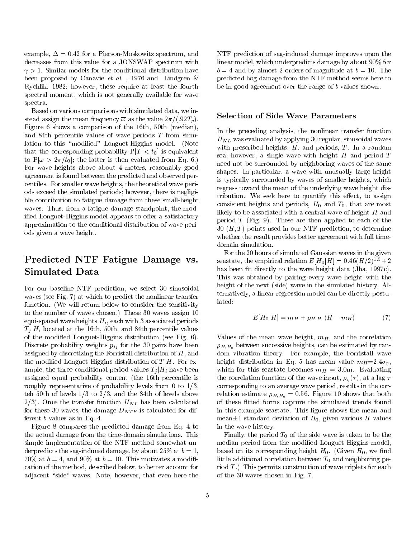example,  $\Delta = 0.42$  for a Pierson-Moskowitz spectrum, and decreases from this value for a JONSWAP spectrum with  $\gamma > 1$ . Similar models for the conditional distribution have been proposed by Canavie et al., 1976 and Lindgren  $\&$ Rychlik, 1982; however, these require at least the fourth spectral moment, which is not generally available for wave spectra.

Based on various comparisons with simulated data, we instead assign the mean frequency  $\bar{\omega}$  as the value  $2\pi/(.92T_p)$ . Figure 6 shows a comparison of the 16th, 50th (median), and 84th percentile values of wave periods T from simulation to this "modified" Longuet-Higgins model. (Note that the corresponding probability  $P[T < t_0]$  is equivalent to  $P[\omega > 2\pi/t_0]$ ; the latter is then evaluated from Eq. 6.) For wave heights above about 4 meters, reasonably good agreement is found between the predicted and observed percentiles. For smaller wave heights, the theoretical wave periods exceed the simulated periods; however, there is negligible contribution to fatigue damage from these small-height waves. Thus, from a fatigue damage standpoint, the modified Longuet-Higgins model appears to offer a satisfactory approximation to the conditional distribution of wave periods given a wave height.

# Predicted NTF Fatigue Damage vs. Simulated Data

For our baseline NTF prediction, we select 30 sinusoidal waves (see Fig. 7) at which to predict the nonlinear transfer function. (We will return below to consider the sensitivity to the number of waves chosen.) These 30 waves assign 10 equi-spaced wave heights  $H_i$ , each with 3 associated periods  $T_i|H_i$  located at the 16th, 50th, and 84th percentile values of the modied Longuet-Higgins distribution (see Fig. 6). Discrete probability weights  $p_{ij}$  for the 30 pairs have been assigned by discretizing the Forristall distribution of  $H$ , and the modified Longuet-Higgins distribution of  $T/H$ . For example, the three conditional period values  $T_i|H_i$  have been assigned equal probability content (the 16th percentile is roughly representative of probability levels from 0 to 1/3, teh 50th of levels 1/3 to 2/3, and the 84th of levels above  $2/3$ . Once the transfer function  $H_{NL}$  has been calculated for these 30 waves, the damage  $\overline{D}_{NTF}$  is calculated for different b values as in Eq. 4.

Figure 8 compares the predicted damage from Eq. 4 to the actual damage from the time-domain simulations. This simple implementation of the NTF method somewhat underpredicts the sag-induced damage, by about 25% at  $b = 1$ , 70% at  $b = 4$ , and 90% at  $b = 10$ . This motivates a modification of the method, described below, to better account for adjacent "side" waves. Note, however, that even here the

NTF prediction of sag-induced damage improves upon the linear model, which underpredicts damage by about 90% for  $b = 4$  and by almost 2 orders of magnitude at  $b = 10$ . The predicted hog damage from the NTF method seems here to be in good agreement over the range of b values shown.

#### Selection of Side Wave Parameters

In the preceding analysis, the nonlinear transfer function  $H_{NL}$  was evaluated by applying 30 regular, sinusoidal waves with prescribed heights,  $H$ , and periods,  $T$ . In a random sea, however, a single wave with height  $H$  and period  $T$ need not be surrounded by neighboring waves of the same shapes. In particular, a wave with unusually large height is typically surrounded by waves of smaller heights, which regress toward the mean of the underlying wave height distribution. We seek here to quantify this effect, to assign consistent heights and periods,  $H_0$  and  $T_0$ , that are most likely to be associated with a central wave of height  $H$  and period  $T$  (Fig. 9). These are then applied to each of the  $30 \; (H, T)$  points used in our NTF prediction, to determine whether the result provides better agreement with full timedomain simulation.

For the 20 hours of simulated Gaussian waves in the given seastate, the empirical relation  $E[H_0|H]=0.46(H/2)^{1.5}+2$ has been fit directly to the wave height data (Jha, 1997c). This was obtained by pairing every wave height with the height of the next (side) wave in the simulated history. Alternatively, a linear regression model can be directly postulated:

$$
E[H_0|H] = m_H + \rho_{H,H_0}(H - m_H) \tag{7}
$$

Values of the mean wave height,  $m_H$ , and the correlation  $\rho_{H,H_0}$  between successive heights, can be estimated by random vibration theory. For example, the Forristall wave height distribution in Eq. 5 has mean value  $m_H=2.4\sigma_\eta$ , which for this seastate becomes  $m_H = 3.0$ m. Evaluating the correlation function of the wave input,  $\rho_n(\tau)$ , at a lag  $\tau$ corresponding to an average wave period, results in the correlation estimate  $\rho_{H,H_0} = 0.56$ . Figure 10 shows that both of these fitted forms capture the simulated trends found in this example seastate. This figure shows the mean and mean $\pm 1$  standard deviation of  $H_0$ , given various H values in the wave history.

Finally, the period  $T_0$  of the side wave is taken to be the median period from the modied Longuet-Higgins model, based on its corresponding height  $H_0$ . (Given  $H_0$ , we find little additional correlation between  $T_0$  and neighboring period  $T$ .) This permits construction of wave triplets for each of the 30 waves chosen in Fig. 7.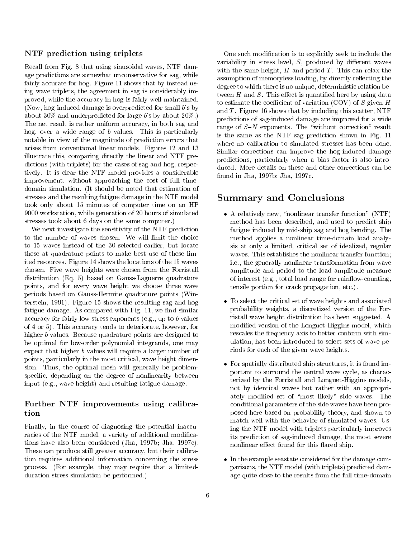### NTF prediction using triplets

Recall from Fig. 8 that using sinusoidal waves, NTF damage predictions are somewhat unconservative for sag, while fairly accurate for hog. Figure 11 shows that by instead using wave triplets, the agreement in sag is considerably improved, while the accuracy in hog is fairly well maintained. (Now, hog-induced damage is overpredicted for small b's by about 30% and underpredicted for large b's by about 20%.) The net result is rather uniform accuracy, in both sag and hog, over a wide range of b values. This is particularly notable in view of the magnitude of prediction errors that arises from conventional linear models. Figures 12 and 13 illustrate this, comparing directly the linear and NTF predictions (with triplets) for the cases of sag and hog, respectively. It is clear the NTF model provides a considerable improvement, without approaching the cost of full timedomain simulation. (It should be noted that estimation of stresses and the resulting fatigue damage in the NTF model took only about 15 minutes of computer time on an HP 9000 workstation, while generation of 20 hours of simulated stresses took about 6 days on the same computer.)

We next investigate the sensitivity of the NTF prediction to the number of waves chosen. We will limit the choice to 15 waves instead of the 30 selected earlier, but locate these at quadrature points to make best use of these limited resources. Figure 14 shows the locations of the 15 waves chosen. Five wave heights were chosen from the Forristall distribution (Eq. 5) based on Gauss-Laguerre quadrature points, and for every wave height we choose three wave periods based on Gauss-Hermite quadrature points (Winterstein, 1991). Figure 15 shows the resulting sag and hog fatigue damage. As compared with Fig. 11, we find similar accuracy for fairly low stress exponents (e.g., up to b values of 4 or 5). This accuracy tends to deteriorate, however, for higher b values. Because quadrature points are designed to be optimal for low-order polynomial integrands, one may expect that higher b values will require a larger number of points, particularly in the most critical, wave height dimension. Thus, the optimal mesh will generally be problemspecific, depending on the degree of nonlinearity between input (e.g., wave height) and resulting fatigue damage.

## Further NTF improvements using calibration

Finally, in the course of diagnosing the potential inaccuracies of the NTF model, a variety of additional modifications have also been considered (Jha, 1997b; Jha, 1997c). These can produce still greater accuracy, but their calibration requires additional information concerning the stress process. (For example, they may require that a limitedduration stress simulation be performed.)

One such modication is to explicitly seek to include the variability in stress level,  $S$ , produced by different waves with the same height,  $H$  and period  $T$ . This can relax the assumption of memoryless loading, by directly reflecting the degree to which there is no unique, deterministic relation between  $H$  and  $S$ . This effect is quantified here by using data to estimate the coefficient of variation (COV) of S given  $H$ and  $T$ . Figure 16 shows that by including this scatter, NTF predictions of sag-induced damage are improved for a wide range of  $S-N$  exponents. The "without correction" result is the same as the NTF sag prediction shown in Fig. 11 where no calibration to simulated stresses has been done. Similar corrections can improve the hog-induced damage predictions, particularly when a bias factor is also introduced. More details on these and other corrections can be found in Jha, 1997b; Jha, 1997c.

# Summary and Conclusions

- A relatively new, "nonlinear transfer function"  $(NTF)$ method has been described, and used to predict ship fatigue induced by mid-ship sag and hog bending. The method applies a nonlinear time-domain load analysis at only a limited, critical set of idealized, regular waves. This establishes the nonlinear transfer function; i.e., the generally nonlinear transformation from wave amplitude and period to the load amplitude measure of interest (e.g., total load range for rainflow-counting, tensile portion for crack propagation, etc.).
- To select the critical set of wave heights and associated probability weights, a discretized version of the Forristall wave height distribution has been suggested. A modied version of the Longuet-Higgins model, which rescales the frequency axis to better conform with simulation, has been introduced to select sets of wave periods for each of the given wave heights.
- For spatially distributed ship structures, it is found important to surround the central wave cycle, as characterized by the Forristall and Longuet-Higgins models, not by identical waves but rather with an appropriately modified set of "most likely" side waves. The conditional parameters of the side waves have been proposed here based on probability theory, and shown to match well with the behavior of simulated waves. Using the NTF model with triplets particularly improves its prediction of sag-induced damage, the most severe nonlinear effect found for this flared ship.
- In the example seastate considered for the damage comparisons, the NTF model (with triplets) predicted damage quite close to the results from the full time-domain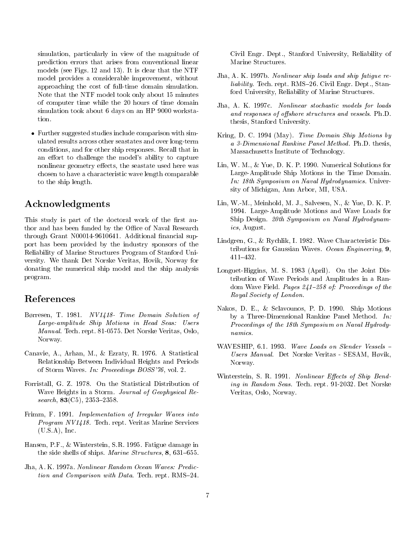simulation, particularly in view of the magnitude of prediction errors that arises from conventional linear models (see Figs. 12 and 13). It is clear that the NTF model provides a considerable improvement, without approaching the cost of full-time domain simulation. Note that the NTF model took only about 15 minutes of computer time while the 20 hours of time domain simulation took about 6 days on an HP 9000 workstation.

 Further suggested studies include comparison with simulated results across other seastates and over long-term conditions, and for other ship responses. Recall that in an effort to challenge the model's ability to capture nonlinear geometry effects, the seastate used here was chosen to have a characteristic wave length comparable to the ship length.

# Acknowledgments

This study is part of the doctoral work of the first author and has been funded by the Office of Naval Research through Grant N00014-9610641. Additional financial support has been provided by the industry sponsors of the Reliability of Marine Structures Program of Stanford Uni versity. We thank Det Norske Veritas, Hovik, Norway for donating the numerical ship model and the ship analysis program.

# References

- Børresen, T. 1981. NV1418- Time Domain Solution of Large-amplitude Ship Motions in Head Seas: Users Manual. Tech. rept. 81-0575. Det Norske Veritas, Oslo, Norway.
- Canavie, A., Arhan, M., & Ezraty, R. 1976. A Statistical Relationship Between Individual Heights and Periods of Storm Waves. In: Proceedings BOSS'76, vol. 2.
- Forristall, G. Z. 1978. On the Statistical Distribution of Wave Heights in a Storm. Journal of Geophysical Research,  $83(C5)$ ,  $2353-2358$ .
- Frimm, F. 1991. Implementation of Irregular Waves into Program NV1418. Tech. rept. Veritas Marine Services (U.S.A), Inc.
- Hansen, P.F., & Winterstein, S.R. 1995. Fatigue damage in the side shells of ships. Marine Structures, 8, 631-655.
- Jha, A. K. 1997a. Nonlinear Random Ocean Waves: Prediction and Comparison with Data. Tech. rept.  $RMS=24$ .

Civil Engr. Dept., Stanford University, Reliability of Marine Structures.

- Jha, A. K. 1997b. Nonlinear ship loads and ship fatigue re*liability.* Tech. rept.  $RMS-26$ . Civil Engr. Dept., Stanford University, Reliability of Marine Structures.
- Jha, A. K. 1997c. Nonlinear stochastic models for loads and responses of offshore structures and vessels. Ph.D. thesis, Stanford University.
- Kring, D. C. 1994 (May). Time Domain Ship Motions by <sup>a</sup> 3-Dimensional Rankine Panel Method. Ph.D. thesis, Massachusetts Institute of Technology.
- Lin, W. M., & Yue, D. K. P. 1990. Numerical Solutions for Large-Amplitude Ship Motions in the Time Domain. In: 18th Symposium on Naval Hydrodynamics. University of Michigan, Ann Arbor, MI, USA.
- Lin, W.-M., Meinhold, M. J., Salvesen, N., & Yue, D. K. P. 1994. Large-Amplitude Motions and Wave Loads for Ship Design. 20th Symposium on Naval Hydrodynamics, August.
- Lindgren, G., & Rychlik, I. 1982. Wave Characteristic Distributions for Gaussian Waves. Ocean Engineering,  $9$ ,  $411{-}432.$
- Longuet-Higgins, M. S. 1983 (April). On the Joint Distribution of Wave Periods and Amplitudes in a Random Wave Field. Pages  $241-258$  of: Proceedings of the Royal Society of London.
- Nakos, D. E., & Sclavounos, P. D. 1990. Ship Motions by a Three-Dimensional Rankine Panel Method. In: Proceedings of the 18th Symposium on Naval Hydrodynamics.
- WAVESHIP,  $6.1.$  1993. Wave Loads on Slender Vessels  $-$ Users Manual. Det Norske veritas - SESAM, Hvik, Hvik, Hvik, Hvik, Hvik, Hvik, Hvik, Hvik, Hvik, Hvik, Hvik, Hvik, H Norway.
- Winterstein, S. R. 1991. Nonlinear Effects of Ship Bending in Random Seas. Tech. rept. 91-2032. Det Norske Veritas, Oslo, Norway.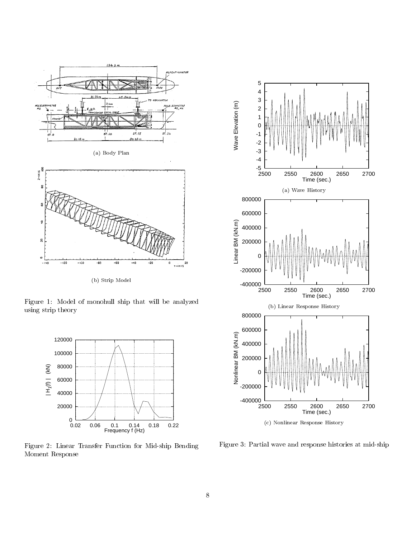

(b) Strip Model

Figure 1: Model of monohull ship that will be analyzed using strip theory



Figure 2: Linear Transfer Function for Mid-ship Bending Moment Response



Figure 3: Partial wave and response histories at mid-ship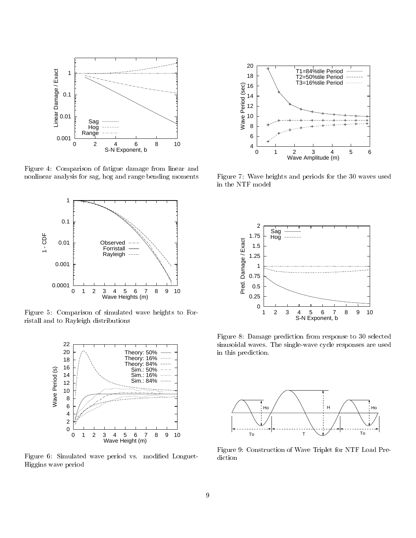

Figure 4: Comparison of fatigue damage from linear and nonlinear analysis for sag, hog and range bending moments



Figure 5: Comparison of simulated wave heights to Forristall and to Rayleigh distributions



Figure 6: Simulated wave period vs. modified Longuet-Higgins wave period



Figure 7: Wave heights and periods for the 30 waves used in the NTF model



Figure 8: Damage prediction from response to 30 selected sinusoidal waves. The single-wave cycle responses are used in this prediction.



Figure 9: Construction of Wave Triplet for NTF Load Prediction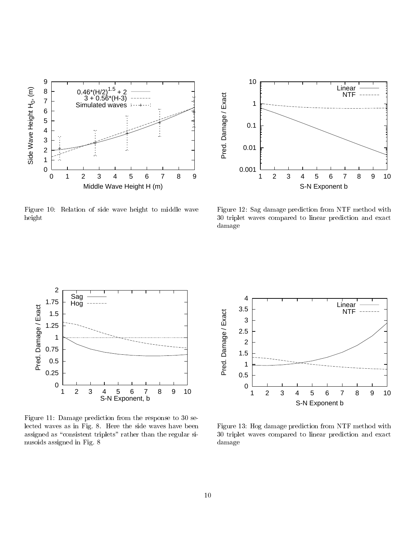

Figure 10: Relation of side wave height to middle wave height



Figure 12: Sag damage prediction from NTF method with 30 triplet waves compared to linear prediction and exact damage



Figure 11: Damage prediction from the response to 30 selected waves as in Fig. 8. Here the side waves have been assigned as "consistent triplets" rather than the regular sinusoids assigned in Fig. 8



Figure 13: Hog damage prediction from NTF method with 30 triplet waves compared to linear prediction and exact damage